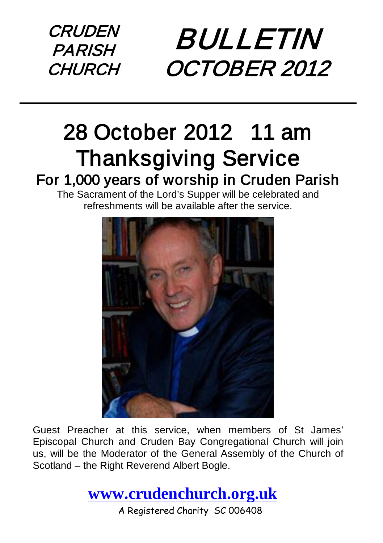**CRUDEN** PARISH **CHURCH** 

# BULLETIN OCTOBER 2012

# 28 October 2012 11 am **Thanksgiving Service**<br>For 1,000 years of worship in Cruden Parish<br>The Sacrament of the Lord's Supper will be celebrated and

refreshments will be available after the service.



Guest Preacher at this service, when members of St James' Episcopal Church and Cruden Bay Congregational Church will join us, will be the Moderator of the General Assembly of the Church of Scotland – the Right Reverend Albert Bogle.

**[www.crudenchurch.org.uk](http://www.crudenchurch.org.uk/)**

A Registered Charity SC 006408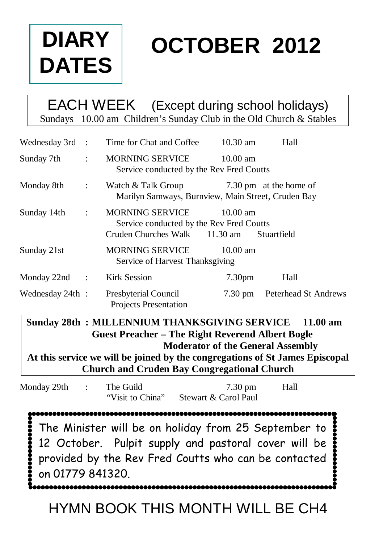

# **OCTOBER 2012**

#### EACH WEEK (Except during school holidays) Sundays 10.00 am Children's Sunday Club in the Old Church & Stables

| Wednesday 3rd :  |                      | Time for Chat and Coffee                                                                     | $10.30$ am         | Hall                   |
|------------------|----------------------|----------------------------------------------------------------------------------------------|--------------------|------------------------|
| Sunday 7th       | $\ddot{\cdot}$       | MORNING SERVICE<br>Service conducted by the Rev Fred Coutts                                  | $10.00 \text{ am}$ |                        |
| Monday 8th       | $\ddot{\phantom{a}}$ | Watch & Talk Group<br>Marilyn Samways, Burnview, Main Street, Cruden Bay                     |                    | 7.30 pm at the home of |
| Sunday 14th      | $\ddot{\phantom{a}}$ | MORNING SERVICE<br>Service conducted by the Rev Fred Coutts<br>Cruden Churches Walk 11.30 am | $10.00 \text{ am}$ | Stuartfield            |
| Sunday 21st      |                      | <b>MORNING SERVICE</b><br>Service of Harvest Thanksgiving                                    | $10.00 \text{ am}$ |                        |
| Monday $22nd$ :  |                      | <b>Kirk Session</b>                                                                          | 7.30 <sub>pm</sub> | Hall                   |
| Wednesday 24th : |                      | Presbyterial Council<br>Projects Presentation                                                | $7.30 \text{ pm}$  | Peterhead St Andrews   |

#### **Sunday 28th : MILLENNIUM THANKSGIVING SERVICE 11.00 am Guest Preacher – The Right Reverend Albert Bogle Moderator of the General Assembly**

**At this service we will be joined by the congregations of St James Episcopal Church and Cruden Bay Congregational Church**

| Monday 29th :    | The Guild<br>"Visit to China" | $7.30 \text{ pm}$<br>Stewart & Carol Paul                                                                                                                                            | Hall |
|------------------|-------------------------------|--------------------------------------------------------------------------------------------------------------------------------------------------------------------------------------|------|
| on 01779 841320. |                               | The Minister will be on holiday from 25 September to $\frac{1}{2}$<br>12 October. Pulpit supply and pastoral cover will be<br>provided by the Rev Fred Coutts who can be contacted ? |      |

HYMN BOOK THIS MONTH WILL BE CH4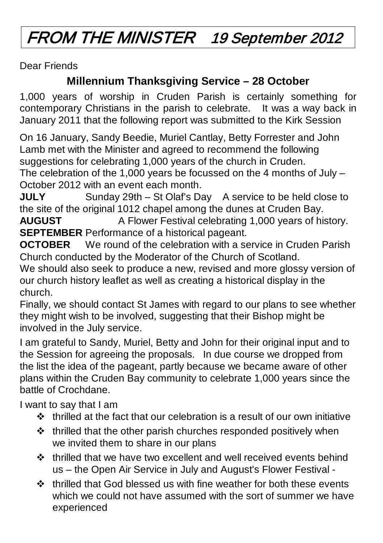## FROM THE MINISTER 19 September 2012

Dear Friends

#### **Millennium Thanksgiving Service – 28 October**

1,000 years of worship in Cruden Parish is certainly something for contemporary Christians in the parish to celebrate. It was a way back in January 2011 that the following report was submitted to the Kirk Session

On 16 January, Sandy Beedie, Muriel Cantlay, Betty Forrester and John Lamb met with the Minister and agreed to recommend the following suggestions for celebrating 1,000 years of the church in Cruden.

The celebration of the 1,000 years be focussed on the 4 months of July – October 2012 with an event each month.

**JULY** Sunday 29th – St Olaf's Day A service to be held close to the site of the original 1012 chapel among the dunes at Cruden Bay.

**AUGUST** A Flower Festival celebrating 1,000 years of history. **SEPTEMBER** Performance of a historical pageant.

**OCTOBER** We round of the celebration with a service in Cruden Parish Church conducted by the Moderator of the Church of Scotland.

We should also seek to produce a new, revised and more glossy version of our church history leaflet as well as creating a historical display in the church.

Finally, we should contact St James with regard to our plans to see whether they might wish to be involved, suggesting that their Bishop might be involved in the July service.

I am grateful to Sandy, Muriel, Betty and John for their original input and to the Session for agreeing the proposals. In due course we dropped from the list the idea of the pageant, partly because we became aware of other plans within the Cruden Bay community to celebrate 1,000 years since the battle of Crochdane.

I want to say that I am

- $\cdot \cdot$  thrilled at the fact that our celebration is a result of our own initiative
- $\cdot \cdot$  thrilled that the other parish churches responded positively when we invited them to share in our plans
- $\div$  thrilled that we have two excellent and well received events behind us – the Open Air Service in July and August's Flower Festival -
- $\div$  thrilled that God blessed us with fine weather for both these events which we could not have assumed with the sort of summer we have experienced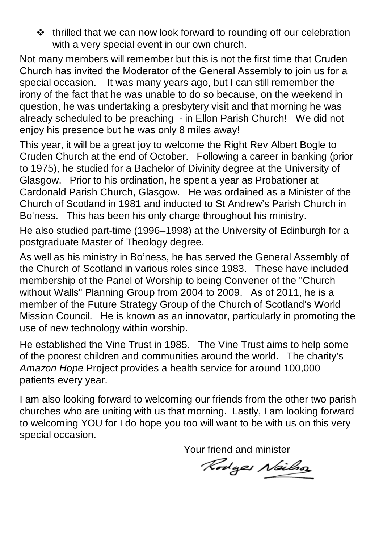$\cdot \cdot$  thrilled that we can now look forward to rounding off our celebration with a very special event in our own church.

Not many members will remember but this is not the first time that Cruden Church has invited the Moderator of the General Assembly to join us for a special occasion. It was many years ago, but I can still remember the irony of the fact that he was unable to do so because, on the weekend in question, he was undertaking a presbytery visit and that morning he was already scheduled to be preaching - in Ellon Parish Church! We did not enjoy his presence but he was only 8 miles away!

This year, it will be a great joy to welcome the Right Rev Albert Bogle to Cruden Church at the end of October. Following a career in banking (prior to 1975), he studied for a [Bachelor of Divinity](http://en.wikipedia.org/wiki/Bachelor_of_Divinity) degree at the [University of](http://en.wikipedia.org/wiki/University_of_Glasgow)  [Glasgow.](http://en.wikipedia.org/wiki/University_of_Glasgow) Prior to his ordination, he spent a year as Probationer at Cardonald Parish Church, Glasgow. He was ordained as a Minister of the [Church of Scotland](http://en.wikipedia.org/wiki/Church_of_Scotland) in 1981 and inducted to St Andrew's Parish Church in Bo'ness. This has been his only charge throughout his ministry.

He also studied part-time (1996–1998) at the [University of Edinburgh](http://en.wikipedia.org/wiki/University_of_Edinburgh) for a postgraduate [Master of Theology](http://en.wikipedia.org/wiki/Master_of_Theology) degree.

As well as his ministry in Bo'ness, he has served the [General Assembly of](http://en.wikipedia.org/wiki/General_Assembly_of_the_Church_of_Scotland)  [the Church of Scotland](http://en.wikipedia.org/wiki/General_Assembly_of_the_Church_of_Scotland) in various roles since 1983. These have included membership of the Panel of Worship to being Convener of the "Church without Walls" Planning Group from 2004 to 2009. As of 2011, he is a member of the Future Strategy Group of the Church of Scotland's World Mission Council. He is known as an innovator, particularly in promoting the use of new technology within worship.

He established the Vine Trust in 1985. The Vine Trust aims to help some of the poorest children and communities around the world. The charity's *Amazon Hope* Project provides a health service for around 100,000 patients every year.

I am also looking forward to welcoming our friends from the other two parish churches who are uniting with us that morning. Lastly, I am looking forward to welcoming YOU for I do hope you too will want to be with us on this very special occasion.

Your friend and minister

Rodges Nailson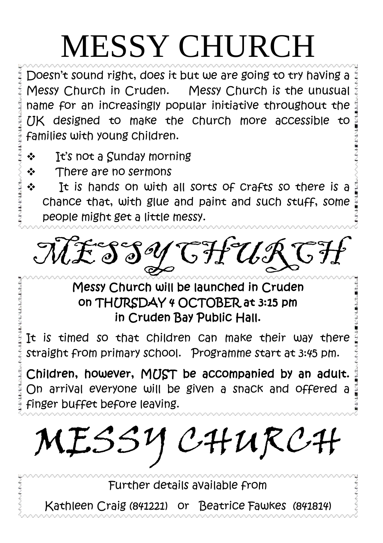# MESSY CHURCH

Doesn't sound right, does it but we are going to try having a Messy Church in Cruden. Messy Church is the unusual name for an increasingly popular initiative throughout the UK designed to make the church more accessible to families with young children.

- It's not a Sunday morning
- ❖ There are no sermons
- **It is hands on with all sorts of Crafts so there is a** chance that, with glue and paint and such stuff, some people might get a little messy.

MCHUR

#### Messy Church will be launched in Cruden on THURSDAY 4 OCTOBER at 3:15 pm in Cruden Bay Public Hall.

It is timed so that children can make their way there straight from primary school. Programme start at 3:45 pm.

Children, however, MUST be accompanied by an adult. On arrival everyone will be given a snack and offered a finger buffet before leaving.

MESSY CHURCH

Further details available from

Kathleen Craig (841221) or Beatrice Fawkes (841814)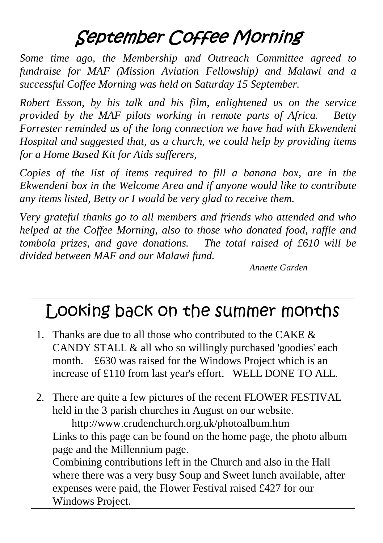## September Coffee Morning

*Some time ago, the Membership and Outreach Committee agreed to fundraise for MAF (Mission Aviation Fellowship) and Malawi and a successful Coffee Morning was held on Saturday 15 September.*

*Robert Esson, by his talk and his film, enlightened us on the service provided by the MAF pilots working in remote parts of Africa. Betty Forrester reminded us of the long connection we have had with Ekwendeni Hospital and suggested that, as a church, we could help by providing items for a Home Based Kit for Aids sufferers,*

*Copies of the list of items required to fill a banana box, are in the Ekwendeni box in the Welcome Area and if anyone would like to contribute any items listed, Betty or I would be very glad to receive them.*

*Very grateful thanks go to all members and friends who attended and who helped at the Coffee Morning, also to those who donated food, raffle and tombola prizes, and gave donations. The total raised of £610 will be divided between MAF and our Malawi fund.*

*Annette Garden*

## Looking back on the summer months

- 1. Thanks are due to all those who contributed to the CAKE  $\&$ CANDY STALL & all who so willingly purchased 'goodies' each month. £630 was raised for the Windows Project which is an increase of £110 from last year's effort. WELL DONE TO ALL.
- 2. There are quite a few pictures of the recent FLOWER FESTIVAL held in the 3 parish churches in August on our website.

 <http://www.crudenchurch.org.uk/photoalbum.htm> Links to this page can be found on the home page, the photo album page and the Millennium page.

Combining contributions left in the Church and also in the Hall where there was a very busy Soup and Sweet lunch available, after expenses were paid, the Flower Festival raised £427 for our Windows Project.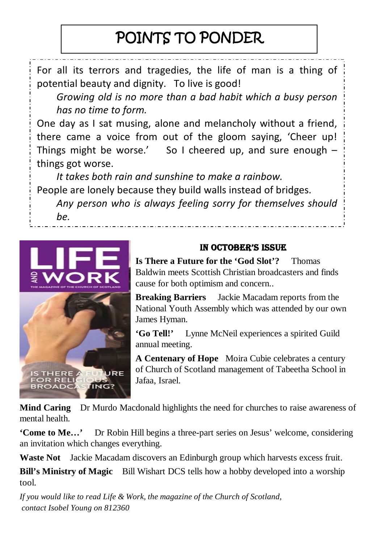## POINTS TO PONDER

For all its terrors and tragedies, the life of man is a thing of potential beauty and dignity. To live is good!

*Growing old is no more than a bad habit which a busy person has no time to form.*

One day as I sat musing, alone and melancholy without a friend, there came a voice from out of the gloom saying, 'Cheer up! Things might be worse.' So I cheered up, and sure enough  $$ things got worse.

*It takes both rain and sunshine to make a rainbow.* People are lonely because they build walls instead of bridges. *Any person who is always feeling sorry for themselves should be.*



#### IN OCTOBER'S ISSUE

**Is There a Future for the 'God Slot'?** Thomas Baldwin meets Scottish Christian broadcasters and finds cause for both optimism and concern..

**Breaking Barriers** Jackie Macadam reports from the National Youth Assembly which was attended by our own James Hyman.

**'Go Tell!'** Lynne McNeil experiences a spirited Guild annual meeting.

**A Centenary of Hope** Moira Cubie celebrates a century of Church of Scotland management of Tabeetha School in Jafaa, Israel.

**Mind Caring** Dr Murdo Macdonald highlights the need for churches to raise awareness of mental health.

**'Come to Me…'** Dr Robin Hill begins a three-part series on Jesus' welcome, considering an invitation which changes everything.

**Waste Not** Jackie Macadam discovers an Edinburgh group which harvests excess fruit.

**Bill's Ministry of Magic** Bill Wishart DCS tells how a hobby developed into a worship tool.

*If you would like to read Life & Work, the magazine of the Church of Scotland, contact Isobel Young on 812360*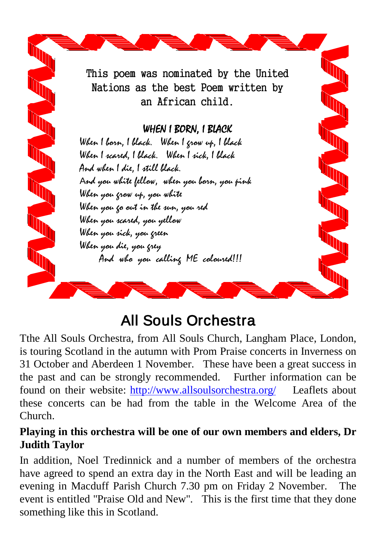

## All Souls Orchestra

Tthe All Souls Orchestra, from All Souls Church, Langham Place, London, is touring Scotland in the autumn with Prom Praise concerts in Inverness on 31 October and Aberdeen 1 November. These have been a great success in the past and can be strongly recommended. Further information can be found on their website:<http://www.allsoulsorchestra.org/>Leaflets about these concerts can be had from the table in the Welcome Area of the Church.

#### **Playing in this orchestra will be one of our own members and elders, Dr Judith Taylor**

In addition, Noel Tredinnick and a number of members of the orchestra have agreed to spend an extra day in the North East and will be leading an evening in Macduff Parish Church 7.30 pm on Friday 2 November. The event is entitled "Praise Old and New". This is the first time that they done something like this in Scotland.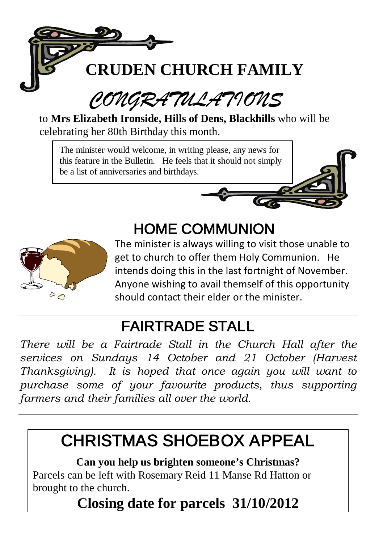

#### *CONGRATULATIONS*  $\overline{\phantom{a}}$

to **Mrs Elizabeth Ironside, Hills of Dens, Blackhills** who will be celebrating her 80th Birthday this month.

The minister would welcome, in writing please, any news for this feature in the Bulletin. He feels that it should not simply be a list of anniversaries and birthdays.



## HOME COMMUNION



The minister is always willing to visit those unable to get to church to offer them Holy Communion. He intends doing this in the last fortnight of November. Anyone wishing to avail themself of this opportunity should contact their elder or the minister.

#### FAIRTRADE STALL

*There will be a Fairtrade Stall in the Church Hall after the services on Sundays 14 October and 21 October (Harvest Thanksgiving). It is hoped that once again you will want to purchase some of your favourite products, thus supporting farmers and their families all over the world.*

## CHRISTMAS SHOEBOX APPEAL

**Can you help us brighten someone's Christmas?** Parcels can be left with Rosemary Reid 11 Manse Rd Hatton or brought to the church.

**Closing date for parcels 31/10/2012**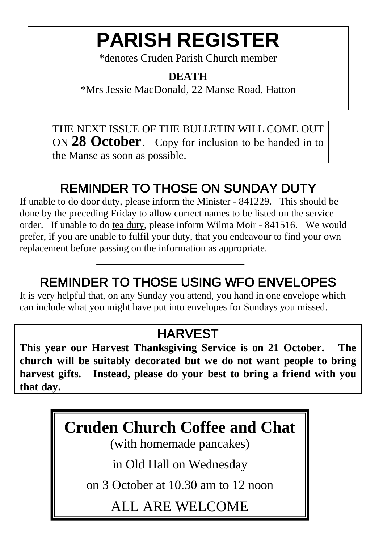## **PARISH REGISTER**

\*denotes Cruden Parish Church member

#### **DEATH**

\*Mrs Jessie MacDonald, 22 Manse Road, Hatton

THE NEXT ISSUE OF THE BULLETIN WILL COME OUT ON **28 October**. Copy for inclusion to be handed in to the Manse as soon as possible.

#### REMINDER TO THOSE ON SUNDAY DUTY

If unable to do door duty, please inform the Minister - 841229. This should be done by the preceding Friday to allow correct names to be listed on the service order. If unable to do tea duty, please inform Wilma Moir - 841516. We would prefer, if you are unable to fulfil your duty, that you endeavour to find your own replacement before passing on the information as appropriate.

#### REMINDER TO THOSE USING WFO ENVELOPES

It is very helpful that, on any Sunday you attend, you hand in one envelope which can include what you might have put into envelopes for Sundays you missed.

#### **HARVEST**

**This year our Harvest Thanksgiving Service is on 21 October. The church will be suitably decorated but we do not want people to bring harvest gifts. Instead, please do your best to bring a friend with you that day.**

### **Cruden Church Coffee and Chat**

(with homemade pancakes)

in Old Hall on Wednesday

on 3 October at 10.30 am to 12 noon

ALL ARE WELCOME